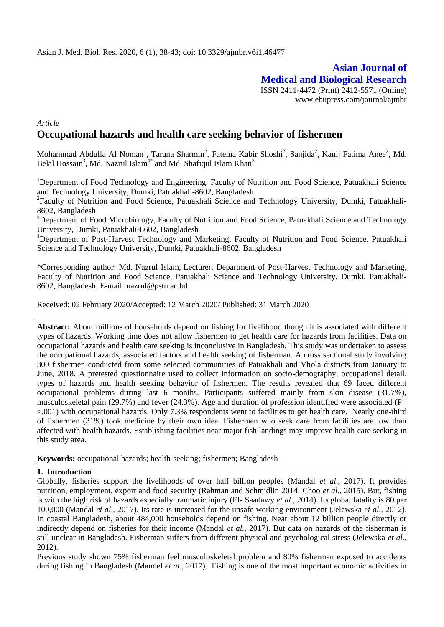# **Asian Journal of Medical and Biological Research** ISSN 2411-4472 (Print) 2412-5571 (Online)

www.ebupress.com/journal/ajmbr

# *Article* **Occupational hazards and health care seeking behavior of fishermen**

Mohammad Abdulla Al Noman<sup>1</sup>, Tarana Sharmin<sup>2</sup>, Fatema Kabir Shoshi<sup>2</sup>, Sanjida<sup>2</sup>, Kanij Fatima Anee<sup>2</sup>, Md. Belal Hossain<sup>3</sup>, Md. Nazrul Islam<sup>4\*</sup> and Md. Shafiqul Islam Khan<sup>3</sup>

<sup>1</sup>Department of Food Technology and Engineering, Faculty of Nutrition and Food Science, Patuakhali Science and Technology University, Dumki, Patuakhali-8602, Bangladesh

<sup>2</sup>Faculty of Nutrition and Food Science, Patuakhali Science and Technology University, Dumki, Patuakhali-8602, Bangladesh

<sup>3</sup>Department of Food Microbiology, Faculty of Nutrition and Food Science, Patuakhali Science and Technology University, Dumki, Patuakhali-8602, Bangladesh

<sup>4</sup>Department of Post-Harvest Technology and Marketing, Faculty of Nutrition and Food Science, Patuakhali Science and Technology University, Dumki, Patuakhali-8602, Bangladesh

\*Corresponding author: Md. Nazrul Islam, Lecturer, Department of Post-Harvest Technology and Marketing, Faculty of Nutrition and Food Science, Patuakhali Science and Technology University, Dumki, Patuakhali-8602, Bangladesh. E-mail: [nazrul@pstu.ac.bd](mailto:nazrul@pstu.ac.bd)

Received: 02 February 2020/Accepted: 12 March 2020/ Published: 31 March 2020

**Abstract:** About millions of households depend on fishing for livelihood though it is associated with different types of hazards. Working time does not allow fishermen to get health care for hazards from facilities. Data on occupational hazards and health care seeking is inconclusive in Bangladesh. This study was undertaken to assess the occupational hazards, associated factors and health seeking of fisherman. A cross sectional study involving 300 fishermen conducted from some selected communities of Patuakhali and Vhola districts from January to June, 2018. A pretested questionnaire used to collect information on socio-demography, occupational detail, types of hazards and health seeking behavior of fishermen. The results revealed that 69 faced different occupational problems during last 6 months. Participants suffered mainly from skin disease (31.7%), musculoskeletal pain (29.7%) and fever (24.3%). Age and duration of profession identified were associated (P= <.001) with occupational hazards. Only 7.3% respondents went to facilities to get health care. Nearly one-third of fishermen (31%) took medicine by their own idea. Fishermen who seek care from facilities are low than affected with health hazards. Establishing facilities near major fish landings may improve health care seeking in this study area.

**Keywords:** occupational hazards; health-seeking; fishermen; Bangladesh

#### **1. Introduction**

Globally, fisheries support the livelihoods of over half billion peoples (Mandal *et al*., 2017). It provides nutrition, employment, export and food security (Rahman and Schmidlin 2014; Choo *et al.*, 2015). But, fishing is with the high risk of hazards especially traumatic injury (El- Saadawy *et al.,* 2014). Its global fatality is 80 per 100,000 (Mandal *et al*., 2017). Its rate is increased for the unsafe working environment (Jelewska *et al.,* 2012). In coastal Bangladesh, about 484,000 households depend on fishing. Near about 12 billion people directly or indirectly depend on fisheries for their income (Mandal *et al.,* 2017). But data on hazards of the fisherman is still unclear in Bangladesh. Fisherman suffers from different physical and psychological stress (Jelewska *et al.,* 2012).

Previous study shown 75% fisherman feel musculoskeletal problem and 80% fisherman exposed to accidents during fishing in Bangladesh (Mandel *et al.,* 2017). Fishing is one of the most important economic activities in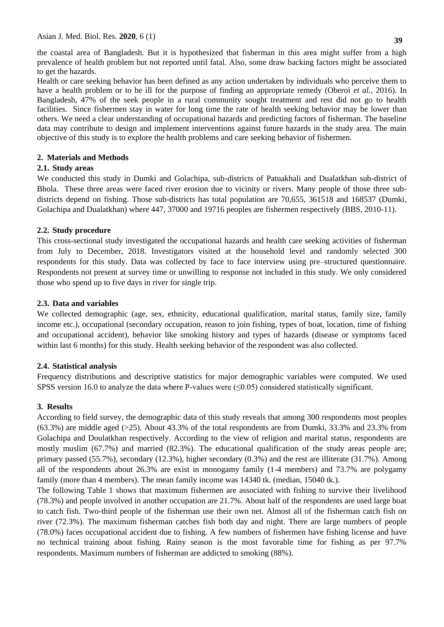the coastal area of Bangladesh. But it is hypothesized that fisherman in this area might suffer from a high prevalence of health problem but not reported until fatal. Also, some draw backing factors might be associated to get the hazards.

Health or care seeking behavior has been defined as any action undertaken by individuals who perceive them to have a health problem or to be ill for the purpose of finding an appropriate remedy (Oberoi *et al.,* 2016). In Bangladesh, 47% of the seek people in a rural community sought treatment and rest did not go to health facilities. Since fishermen stay in water for long time the rate of health seeking behavior may be lower than others. We need a clear understanding of occupational hazards and predicting factors of fisherman. The baseline data may contribute to design and implement interventions against future hazards in the study area. The main objective of this study is to explore the health problems and care seeking behavior of fishermen.

## **2. Materials and Methods**

## **2.1. Study areas**

We conducted this study in Dumki and Golachipa, sub-districts of Patuakhali and Dualatkhan sub-district of Bhola. These three areas were faced river erosion due to vicinity or rivers. Many people of those three subdistricts depend on fishing. Those sub-districts has total population are 70,655, 361518 and 168537 (Dumki, Golachipa and Dualatkhan) where 447, 37000 and 19716 peoples are fishermen respectively (BBS, 2010-11).

## **2.2. Study procedure**

This cross-sectional study investigated the occupational hazards and health care seeking activities of fisherman from July to December, 2018. Investigators visited at the household level and randomly selected 300 respondents for this study. Data was collected by face to face interview using pre–structured questionnaire. Respondents not present at survey time or unwilling to response not included in this study. We only considered those who spend up to five days in river for single trip.

## **2.3. Data and variables**

We collected demographic (age, sex, ethnicity, educational qualification, marital status, family size, family income etc.), occupational (secondary occupation, reason to join fishing, types of boat, location, time of fishing and occupational accident), behavior like smoking history and types of hazards (disease or symptoms faced within last 6 months) for this study. Health seeking behavior of the respondent was also collected.

## **2.4. Statistical analysis**

Frequency distributions and descriptive statistics for major demographic variables were computed. We used SPSS version 16.0 to analyze the data where P-values were  $(\leq 0.05)$  considered statistically significant.

## **3. Results**

According to field survey, the demographic data of this study reveals that among 300 respondents most peoples  $(63.3%)$  are middle aged  $(>=25)$ . About 43.3% of the total respondents are from Dumki, 33.3% and 23.3% from Golachipa and Doulatkhan respectively. According to the view of religion and marital status, respondents are mostly muslim (67.7%) and married (82.3%). The educational qualification of the study areas people are; primary passed (55.7%), secondary (12.3%), higher secondary (0.3%) and the rest are illiterate (31.7%). Among all of the respondents about 26.3% are exist in monogamy family (1-4 members) and 73.7% are polygamy family (more than 4 members). The mean family income was 14340 tk. (median, 15040 tk.).

The following Table 1 shows that maximum fishermen are associated with fishing to survive their livelihood (78.3%) and people involved in another occupation are 21.7%. About half of the respondents are used large boat to catch fish. Two-third people of the fisherman use their own net. Almost all of the fisherman catch fish on river (72.3%). The maximum fisherman catches fish both day and night. There are large numbers of people (78.0%) faces occupational accident due to fishing. A few numbers of fishermen have fishing license and have no technical training about fishing. Rainy season is the most favorable time for fishing as per 97.7% respondents. Maximum numbers of fisherman are addicted to smoking (88%).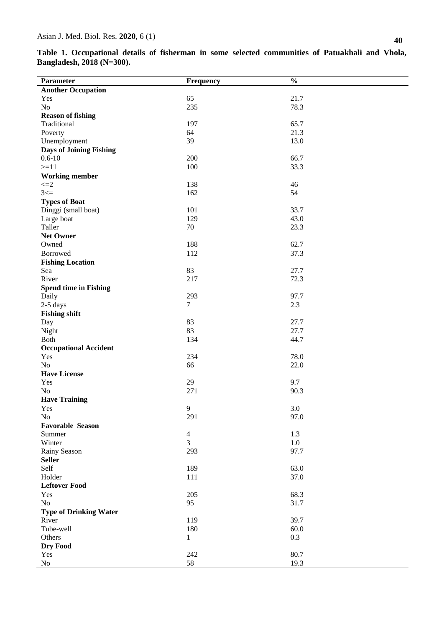**Table 1. Occupational details of fisherman in some selected communities of Patuakhali and Vhola, Bangladesh, 2018 (N=300).**

|                                              |                | $\frac{0}{0}$ |
|----------------------------------------------|----------------|---------------|
| Parameter                                    | Frequency      |               |
| <b>Another Occupation</b><br>Yes             | 65             | 21.7          |
| No                                           | 235            | 78.3          |
| <b>Reason of fishing</b>                     |                |               |
| Traditional                                  | 197            | 65.7          |
|                                              | 64             | 21.3          |
| Poverty                                      |                |               |
| Unemployment                                 | 39             | 13.0          |
| <b>Days of Joining Fishing</b><br>$0.6 - 10$ |                |               |
|                                              | 200            | 66.7          |
| $>=11$                                       | 100            | 33.3          |
| <b>Working member</b>                        |                |               |
| $\leq=2$                                     | 138            | 46            |
| $3 \leq 1$                                   | 162            | 54            |
| <b>Types of Boat</b>                         |                |               |
| Dinggi (small boat)                          | 101            | 33.7          |
| Large boat                                   | 129            | 43.0          |
| Taller                                       | 70             | 23.3          |
| <b>Net Owner</b>                             |                |               |
| Owned                                        | 188            | 62.7          |
| Borrowed                                     | 112            | 37.3          |
| <b>Fishing Location</b>                      |                |               |
| Sea                                          | 83             | 27.7          |
| River                                        | 217            | 72.3          |
| <b>Spend time in Fishing</b>                 |                |               |
| Daily                                        | 293            | 97.7          |
| $2-5$ days                                   | $\overline{7}$ | 2.3           |
| <b>Fishing shift</b>                         |                |               |
| Day                                          | 83             | 27.7          |
| Night                                        | 83             | 27.7          |
| Both                                         | 134            | 44.7          |
| <b>Occupational Accident</b>                 |                |               |
| Yes                                          | 234            | 78.0          |
| No                                           | 66             | 22.0          |
| <b>Have License</b>                          |                |               |
| Yes                                          | 29             | 9.7           |
| No                                           | 271            | 90.3          |
| <b>Have Training</b>                         |                |               |
| Yes                                          | $\mathbf{9}$   | $3.0\,$       |
| No                                           | 291            | 97.0          |
| <b>Favorable Season</b>                      |                |               |
| Summer                                       | $\overline{4}$ | 1.3           |
| Winter                                       | $\overline{3}$ | $1.0\,$       |
| Rainy Season                                 | 293            | 97.7          |
| <b>Seller</b>                                |                |               |
| Self                                         | 189            | 63.0          |
| Holder                                       | 111            | 37.0          |
| <b>Leftover Food</b>                         |                |               |
| Yes                                          | 205            | 68.3          |
| No                                           | 95             | 31.7          |
| <b>Type of Drinking Water</b>                |                |               |
| River                                        | 119            | 39.7          |
| Tube-well                                    | 180            | 60.0          |
| Others                                       | $\mathbf{1}$   | 0.3           |
| Dry Food                                     |                |               |
| Yes                                          | 242            | 80.7          |
| $\rm No$                                     | 58             | 19.3          |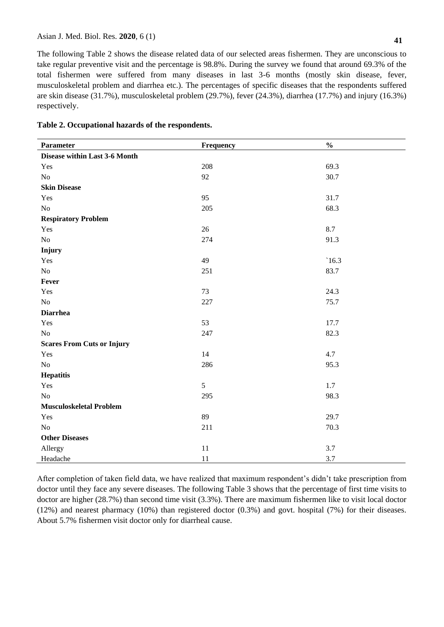The following Table 2 shows the disease related data of our selected areas fishermen. They are unconscious to take regular preventive visit and the percentage is 98.8%. During the survey we found that around 69.3% of the total fishermen were suffered from many diseases in last 3-6 months (mostly skin disease, fever, musculoskeletal problem and diarrhea etc.). The percentages of specific diseases that the respondents suffered are skin disease (31.7%), musculoskeletal problem (29.7%), fever (24.3%), diarrhea (17.7%) and injury (16.3%) respectively.

|  |  |  | Table 2. Occupational hazards of the respondents. |
|--|--|--|---------------------------------------------------|
|--|--|--|---------------------------------------------------|

| Parameter                         | Frequency | $\frac{0}{0}$ |
|-----------------------------------|-----------|---------------|
| Disease within Last 3-6 Month     |           |               |
| Yes                               | 208       | 69.3          |
| $\rm No$                          | 92        | 30.7          |
| <b>Skin Disease</b>               |           |               |
| Yes                               | 95        | 31.7          |
| N <sub>o</sub>                    | 205       | 68.3          |
| <b>Respiratory Problem</b>        |           |               |
| Yes                               | 26        | 8.7           |
| $\rm No$                          | 274       | 91.3          |
| Injury                            |           |               |
| Yes                               | 49        | $\dot{16.3}$  |
| $\rm No$                          | 251       | 83.7          |
| Fever                             |           |               |
| Yes                               | 73        | 24.3          |
| No                                | 227       | 75.7          |
| <b>Diarrhea</b>                   |           |               |
| Yes                               | 53        | 17.7          |
| $\rm No$                          | 247       | 82.3          |
| <b>Scares From Cuts or Injury</b> |           |               |
| Yes                               | 14        | 4.7           |
| $\rm No$                          | 286       | 95.3          |
| <b>Hepatitis</b>                  |           |               |
| Yes                               | 5         | 1.7           |
| $\rm No$                          | 295       | 98.3          |
| <b>Musculoskeletal Problem</b>    |           |               |
| Yes                               | 89        | 29.7          |
| No                                | 211       | 70.3          |
| <b>Other Diseases</b>             |           |               |
| Allergy                           | 11        | 3.7           |
| Headache                          | 11        | 3.7           |

After completion of taken field data, we have realized that maximum respondent's didn't take prescription from doctor until they face any severe diseases. The following Table 3 shows that the percentage of first time visits to doctor are higher (28.7%) than second time visit (3.3%). There are maximum fishermen like to visit local doctor (12%) and nearest pharmacy (10%) than registered doctor (0.3%) and govt. hospital (7%) for their diseases. About 5.7% fishermen visit doctor only for diarrheal cause.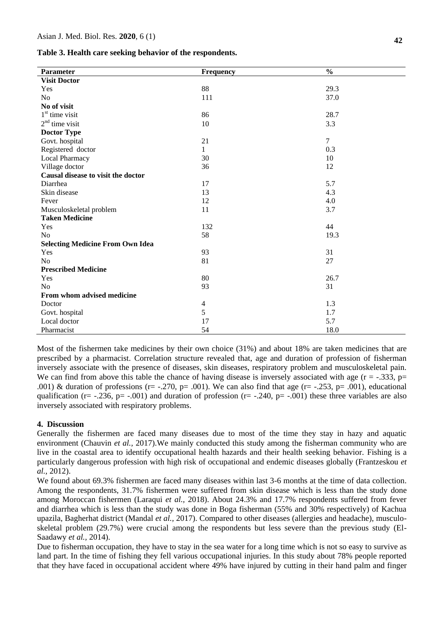| Table 3. Health care seeking behavior of the respondents. |  |  |  |
|-----------------------------------------------------------|--|--|--|
|-----------------------------------------------------------|--|--|--|

| Parameter                               | Frequency      | $\frac{0}{0}$ |
|-----------------------------------------|----------------|---------------|
| <b>Visit Doctor</b>                     |                |               |
| Yes                                     | 88             | 29.3          |
| N <sub>o</sub>                          | 111            | 37.0          |
| No of visit                             |                |               |
| $1st$ time visit                        | 86             | 28.7          |
| $2nd$ time visit                        | 10             | 3.3           |
| <b>Doctor Type</b>                      |                |               |
| Govt. hospital                          | 21             | $\tau$        |
| Registered doctor                       | 1              | 0.3           |
| Local Pharmacy                          | 30             | 10            |
| Village doctor                          | 36             | 12            |
| Causal disease to visit the doctor      |                |               |
| Diarrhea                                | 17             | 5.7           |
| Skin disease                            | 13             | 4.3           |
| Fever                                   | 12             | 4.0           |
| Musculoskeletal problem                 | 11             | 3.7           |
| <b>Taken Medicine</b>                   |                |               |
| Yes                                     | 132            | 44            |
| No                                      | 58             | 19.3          |
| <b>Selecting Medicine From Own Idea</b> |                |               |
| Yes                                     | 93             | 31            |
| N <sub>o</sub>                          | 81             | 27            |
| <b>Prescribed Medicine</b>              |                |               |
| Yes                                     | 80             | 26.7          |
| N <sub>o</sub>                          | 93             | 31            |
| From whom advised medicine              |                |               |
| Doctor                                  | $\overline{4}$ | 1.3           |
| Govt. hospital                          | 5              | 1.7           |
| Local doctor                            | 17             | 5.7           |
| Pharmacist                              | 54             | 18.0          |

Most of the fishermen take medicines by their own choice (31%) and about 18% are taken medicines that are prescribed by a pharmacist. Correlation structure revealed that, age and duration of profession of fisherman inversely associate with the presence of diseases, skin diseases, respiratory problem and musculoskeletal pain. We can find from above this table the chance of having disease is inversely associated with age  $(r = -0.333, p=0.533)$ .001) & duration of professions (r= -.270, p= .001). We can also find that age (r= -.253, p= .001), educational qualification ( $r = -0.236$ ,  $p = -0.001$ ) and duration of profession ( $r = -0.240$ ,  $p = -0.001$ ) these three variables are also inversely associated with respiratory problems.

#### **4. Discussion**

Generally the fishermen are faced many diseases due to most of the time they stay in hazy and aquatic environment (Chauvin *et al.,* 2017).We mainly conducted this study among the fisherman community who are live in the coastal area to identify occupational health hazards and their health seeking behavior. Fishing is a particularly dangerous profession with high risk of occupational and endemic diseases globally (Frantzeskou *et al.,* 2012).

We found about 69.3% fishermen are faced many diseases within last 3-6 months at the time of data collection. Among the respondents, 31.7% fishermen were suffered from skin disease which is less than the study done among Moroccan fishermen (Laraqui *et al.,* 2018). About 24.3% and 17.7% respondents suffered from fever and diarrhea which is less than the study was done in Boga fisherman (55% and 30% respectively) of Kachua upazila, Bagherhat district (Mandal *et al.,* 2017). Compared to other diseases (allergies and headache), musculoskeletal problem (29.7%) were crucial among the respondents but less severe than the previous study (El-Saadawy *et al.,* 2014).

Due to fisherman occupation, they have to stay in the sea water for a long time which is not so easy to survive as land part. In the time of fishing they fell various occupational injuries. In this study about 78% people reported that they have faced in occupational accident where 49% have injured by cutting in their hand palm and finger